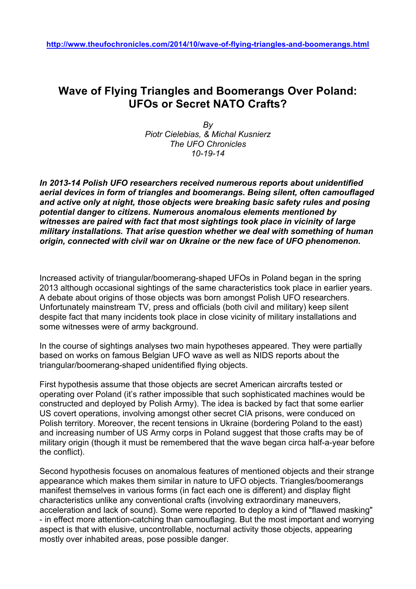# **Wave of Flying Triangles and Boomerangs Over Poland: UFOs or Secret NATO Crafts?**

*By Piotr Cielebias, & Michal Kusnierz The UFO Chronicles 10-19-14* 

*In 2013-14 Polish UFO researchers received numerous reports about unidentified aerial devices in form of triangles and boomerangs. Being silent, often camouflaged and active only at night, those objects were breaking basic safety rules and posing potential danger to citizens. Numerous anomalous elements mentioned by witnesses are paired with fact that most sightings took place in vicinity of large military installations. That arise question whether we deal with something of human origin, connected with civil war on Ukraine or the new face of UFO phenomenon.*

Increased activity of triangular/boomerang-shaped UFOs in Poland began in the spring 2013 although occasional sightings of the same characteristics took place in earlier years. A debate about origins of those objects was born amongst Polish UFO researchers. Unfortunately mainstream TV, press and officials (both civil and military) keep silent despite fact that many incidents took place in close vicinity of military installations and some witnesses were of army background.

In the course of sightings analyses two main hypotheses appeared. They were partially based on works on famous Belgian UFO wave as well as NIDS reports about the triangular/boomerang-shaped unidentified flying objects.

First hypothesis assume that those objects are secret American aircrafts tested or operating over Poland (it's rather impossible that such sophisticated machines would be constructed and deployed by Polish Army). The idea is backed by fact that some earlier US covert operations, involving amongst other secret CIA prisons, were conduced on Polish territory. Moreover, the recent tensions in Ukraine (bordering Poland to the east) and increasing number of US Army corps in Poland suggest that those crafts may be of military origin (though it must be remembered that the wave began circa half-a-year before the conflict).

Second hypothesis focuses on anomalous features of mentioned objects and their strange appearance which makes them similar in nature to UFO objects. Triangles/boomerangs manifest themselves in various forms (in fact each one is different) and display flight characteristics unlike any conventional crafts (involving extraordinary maneuvers, acceleration and lack of sound). Some were reported to deploy a kind of "flawed masking" - in effect more attention-catching than camouflaging. But the most important and worrying aspect is that with elusive, uncontrollable, nocturnal activity those objects, appearing mostly over inhabited areas, pose possible danger.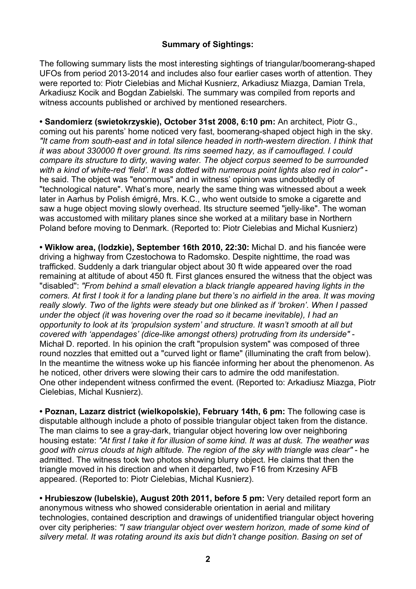## **Summary of Sightings:**

The following summary lists the most interesting sightings of triangular/boomerang-shaped UFOs from period 2013-2014 and includes also four earlier cases worth of attention. They were reported to: Piotr Cielebias and Michał Kusnierz, Arkadiusz Miazga, Damian Trela, Arkadiusz Kocik and Bogdan Zabielski. The summary was compiled from reports and witness accounts published or archived by mentioned researchers.

**• Sandomierz (swietokrzyskie), October 31st 2008, 6:10 pm:** An architect, Piotr G., coming out his parents' home noticed very fast, boomerang-shaped object high in the sky. *"It came from south-east and in total silence headed in north-western direction. I think that it was about 330000 ft over ground. Its rims seemed hazy, as if camouflaged. I could compare its structure to dirty, waving water. The object corpus seemed to be surrounded with a kind of white-red 'field'. It was dotted with numerous point lights also red in color"* he said. The object was "enormous" and in witness' opinion was undoubtedly of "technological nature". What's more, nearly the same thing was witnessed about a week later in Aarhus by Polish émigré, Mrs. K.C., who went outside to smoke a cigarette and saw a huge object moving slowly overhead. Its structure seemed "jelly-like". The woman was accustomed with military planes since she worked at a military base in Northern Poland before moving to Denmark. (Reported to: Piotr Cielebias and Michal Kusnierz)

**• Wikłow area, (lodzkie), September 16th 2010, 22:30:** Michal D. and his fiancée were driving a highway from Czestochowa to Radomsko. Despite nighttime, the road was trafficked. Suddenly a dark triangular object about 30 ft wide appeared over the road remaining at altitude of about 450 ft. First glances ensured the witness that the object was "disabled": *"From behind a small elevation a black triangle appeared having lights in the corners. At first I took it for a landing plane but there's no airfield in the area. It was moving really slowly. Two of the lights were steady but one blinked as if 'broken'. When I passed under the object (it was hovering over the road so it became inevitable), I had an opportunity to look at its 'propulsion system' and structure. It wasn't smooth at all but covered with 'appendages' (dice-like amongst others) protruding from its underside"* - Michał D. reported. In his opinion the craft "propulsion system" was composed of three round nozzles that emitted out a "curved light or flame" (illuminating the craft from below). In the meantime the witness woke up his fiancée informing her about the phenomenon. As he noticed, other drivers were slowing their cars to admire the odd manifestation. One other independent witness confirmed the event. (Reported to: Arkadiusz Miazga, Piotr Cielebias, Michal Kusnierz).

**• Poznan, Lazarz district (wielkopolskie), February 14th, 6 pm:** The following case is disputable although include a photo of possible triangular object taken from the distance. The man claims to see a gray-dark, triangular object hovering low over neighboring housing estate: *"At first I take it for illusion of some kind. It was at dusk. The weather was good with cirrus clouds at high altitude. The region of the sky with triangle was clear"* - he admitted. The witness took two photos showing blurry object. He claims that then the triangle moved in his direction and when it departed, two F16 from Krzesiny AFB appeared. (Reported to: Piotr Cielebias, Michal Kusnierz).

**• Hrubieszow (lubelskie), August 20th 2011, before 5 pm:** Very detailed report form an anonymous witness who showed considerable orientation in aerial and military technologies, contained description and drawings of unidentified triangular object hovering over city peripheries: *"I saw triangular object over western horizon, made of some kind of silvery metal. It was rotating around its axis but didn't change position. Basing on set of*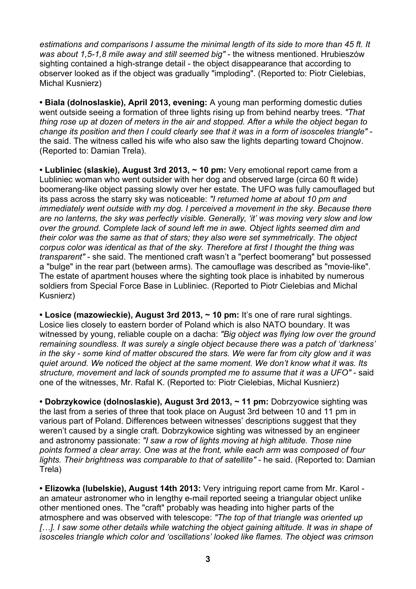*estimations and comparisons I assume the minimal length of its side to more than 45 ft. It was about 1,5-1,8 mile away and still seemed big"* - the witness mentioned. Hrubieszów sighting contained a high-strange detail - the object disappearance that according to observer looked as if the object was gradually "imploding". (Reported to: Piotr Cielebias, Michal Kusnierz)

**• Biala (dolnoslaskie), April 2013, evening:** A young man performing domestic duties went outside seeing a formation of three lights rising up from behind nearby trees. *"That thing rose up at dozen of meters in the air and stopped. After a while the object began to change its position and then I could clearly see that it was in a form of isosceles triangle"* the said. The witness called his wife who also saw the lights departing toward Chojnow. (Reported to: Damian Trela).

**• Lubliniec (slaskie), August 3rd 2013, ~ 10 pm:** Very emotional report came from a Lubliniec woman who went outsider with her dog and observed large (circa 60 ft wide) boomerang-like object passing slowly over her estate. The UFO was fully camouflaged but its pass across the starry sky was noticeable: *"I returned home at about 10 pm and immediately went outside with my dog. I perceived a movement in the sky. Because there are no lanterns, the sky was perfectly visible. Generally, 'it' was moving very slow and low over the ground. Complete lack of sound left me in awe. Object lights seemed dim and their color was the same as that of stars; they also were set symmetrically. The object corpus color was identical as that of the sky. Therefore at first I thought the thing was transparent"* - she said. The mentioned craft wasn't a "perfect boomerang" but possessed a "bulge" in the rear part (between arms). The camouflage was described as "movie-like". The estate of apartment houses where the sighting took place is inhabited by numerous soldiers from Special Force Base in Lubliniec. (Reported to Piotr Cielebias and Michal Kusnierz)

**• Losice (mazowieckie), August 3rd 2013, ~ 10 pm:** It's one of rare rural sightings. Losice lies closely to eastern border of Poland which is also NATO boundary. It was witnessed by young, reliable couple on a dacha: *"Big object was flying low over the ground remaining soundless. It was surely a single object because there was a patch of 'darkness' in the sky - some kind of matter obscured the stars. We were far from city glow and it was quiet around. We noticed the object at the same moment. We don't know what it was. Its structure, movement and lack of sounds prompted me to assume that it was a UFO"* - said one of the witnesses, Mr. Rafal K. (Reported to: Piotr Cielebias, Michal Kusnierz)

**• Dobrzykowice (dolnoslaskie), August 3rd 2013, ~ 11 pm:** Dobrzyowice sighting was the last from a series of three that took place on August 3rd between 10 and 11 pm in various part of Poland. Differences between witnesses' descriptions suggest that they weren't caused by a single craft. Dobrzykowice sighting was witnessed by an engineer and astronomy passionate: *"I saw a row of lights moving at high altitude. Those nine points formed a clear array. One was at the front, while each arm was composed of four lights. Their brightness was comparable to that of satellite"* - he said. (Reported to: Damian Trela)

**• Elizowka (lubelskie), August 14th 2013:** Very intriguing report came from Mr. Karol an amateur astronomer who in lengthy e-mail reported seeing a triangular object unlike other mentioned ones. The "craft" probably was heading into higher parts of the atmosphere and was observed with telescope: *"The top of that triangle was oriented up*  [...]. I saw some other details while watching the object gaining altitude. It was in shape of *isosceles triangle which color and 'oscillations' looked like flames. The object was crimson*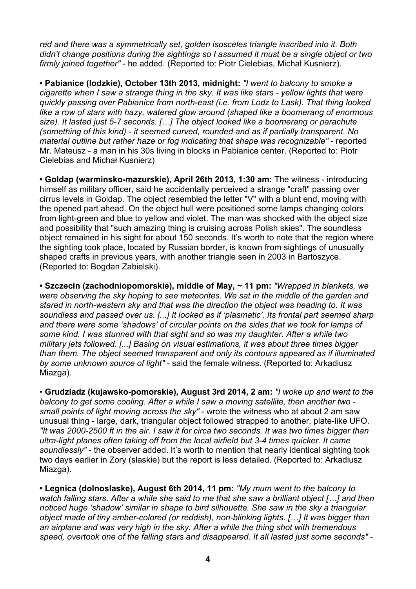*red and there was a symmetrically set, golden isosceles triangle inscribed into it. Both didn't change positions during the sightings so I assumed it must be a single object or two firmly joined together"* - he added. (Reported to: Piotr Cielebias, Michał Kusnierz).

**• Pabianice (lodzkie), October 13th 2013, midnight:** *"I went to balcony to smoke a cigarette when I saw a strange thing in the sky. It was like stars - yellow lights that were quickly passing over Pabianice from north-east (i.e. from Lodz to Lask). That thing looked like a row of stars with hazy, watered glow around (shaped like a boomerang of enormous size). It lasted just 5-7 seconds. […] The object looked like a boomerang or parachute (something of this kind) - it seemed curved, rounded and as if partially transparent. No material outline but rather haze or fog indicating that shape was recognizable"* - reported Mr. Mateusz - a man in his 30s living in blocks in Pabianice center. (Reported to: Piotr Cielebias and Michał Kusnierz)

**• Goldap (warminsko-mazurskie), April 26th 2013, 1:30 am:** The witness - introducing himself as military officer, said he accidentally perceived a strange "craft" passing over cirrus levels in Goldap. The object resembled the letter "V" with a blunt end, moving with the opened part ahead. On the object hull were positioned some lamps changing colors from light-green and blue to yellow and violet. The man was shocked with the object size and possibility that "such amazing thing is cruising across Polish skies". The soundless object remained in his sight for about 150 seconds. It's worth to note that the region where the sighting took place, located by Russian border, is known from sightings of unusually shaped crafts in previous years, with another triangle seen in 2003 in Bartoszyce. (Reported to: Bogdan Zabielski).

**• Szczecin (zachodniopomorskie), middle of May, ~ 11 pm:** *"Wrapped in blankets, we were observing the sky hoping to see meteorites. We sat in the middle of the garden and stared in north-western sky and that was the direction the object was heading to. It was soundless and passed over us. [...] It looked as if 'plasmatic'. Its frontal part seemed sharp and there were some 'shadows' of circular points on the sides that we took for lamps of some kind. I was stunned with that sight and so was my daughter. After a while two military jets followed. [...] Basing on visual estimations, it was about three times bigger than them. The object seemed transparent and only its contours appeared as if illuminated by some unknown source of light"* - said the female witness. (Reported to: Arkadiusz Miazga).

• **Grudziadz (kujawsko-pomorskie), August 3rd 2014, 2 am:** *"I woke up and went to the balcony to get some cooling. After a while I saw a moving satellite, then another two small points of light moving across the sky"* - wrote the witness who at about 2 am saw unusual thing - large, dark, triangular object followed strapped to another, plate-like UFO. *"It was 2000-2500 ft in the air. I saw it for circa two seconds. It was two times bigger than ultra-light planes often taking off from the local airfield but 3-4 times quicker. It came soundlessly"* - the observer added. It's worth to mention that nearly identical sighting took two days earlier in Zory (slaskie) but the report is less detailed. (Reported to: Arkadiusz Miazga).

**• Legnica (dolnoslaske), August 6th 2014, 11 pm:** *"My mum went to the balcony to watch falling stars. After a while she said to me that she saw a brilliant object […] and then noticed huge 'shadow' similar in shape to bird silhouette. She saw in the sky a triangular object made of tiny amber-colored (or reddish), non-blinking lights. […] It was bigger than an airplane and was very high in the sky. After a while the thing shot with tremendous speed, overtook one of the falling stars and disappeared. It all lasted just some seconds"* -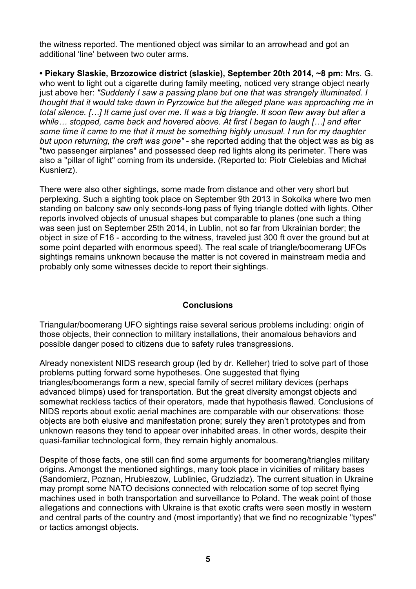the witness reported. The mentioned object was similar to an arrowhead and got an additional 'line' between two outer arms.

**• Piekary Slaskie, Brzozowice district (slaskie), September 20th 2014, ~8 pm:** Mrs. G. who went to light out a cigarette during family meeting, noticed very strange object nearly just above her: *"Suddenly I saw a passing plane but one that was strangely illuminated. I thought that it would take down in Pyrzowice but the alleged plane was approaching me in total silence. […] It came just over me. It was a big triangle. It soon flew away but after a while… stopped, came back and hovered above. At first I began to laugh […] and after some time it came to me that it must be something highly unusual. I run for my daughter but upon returning, the craft was gone"* - she reported adding that the object was as big as "two passenger airplanes" and possessed deep red lights along its perimeter. There was also a "pillar of light" coming from its underside. (Reported to: Piotr Cielebias and Michał Kusnierz).

There were also other sightings, some made from distance and other very short but perplexing. Such a sighting took place on September 9th 2013 in Sokolka where two men standing on balcony saw only seconds-long pass of flying triangle dotted with lights. Other reports involved objects of unusual shapes but comparable to planes (one such a thing was seen just on September 25th 2014, in Lublin, not so far from Ukrainian border; the object in size of F16 - according to the witness, traveled just 300 ft over the ground but at some point departed with enormous speed). The real scale of triangle/boomerang UFOs sightings remains unknown because the matter is not covered in mainstream media and probably only some witnesses decide to report their sightings.

#### **Conclusions**

Triangular/boomerang UFO sightings raise several serious problems including: origin of those objects, their connection to military installations, their anomalous behaviors and possible danger posed to citizens due to safety rules transgressions.

Already nonexistent NIDS research group (led by dr. Kelleher) tried to solve part of those problems putting forward some hypotheses. One suggested that flying triangles/boomerangs form a new, special family of secret military devices (perhaps advanced blimps) used for transportation. But the great diversity amongst objects and somewhat reckless tactics of their operators, made that hypothesis flawed. Conclusions of NIDS reports about exotic aerial machines are comparable with our observations: those objects are both elusive and manifestation prone; surely they aren't prototypes and from unknown reasons they tend to appear over inhabited areas. In other words, despite their quasi-familiar technological form, they remain highly anomalous.

Despite of those facts, one still can find some arguments for boomerang/triangles military origins. Amongst the mentioned sightings, many took place in vicinities of military bases (Sandomierz, Poznan, Hrubieszow, Lubliniec, Grudziadz). The current situation in Ukraine may prompt some NATO decisions connected with relocation some of top secret flying machines used in both transportation and surveillance to Poland. The weak point of those allegations and connections with Ukraine is that exotic crafts were seen mostly in western and central parts of the country and (most importantly) that we find no recognizable "types" or tactics amongst objects.